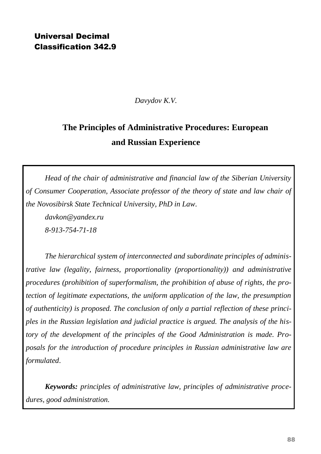## Universal Decimal Classification 342.9

*Davydov K.V.*

## **The Principles of Administrative Procedures: European and Russian Experience**

*Head of the chair of administrative and financial law of the Siberian University of Consumer Cooperation, Associate professor of the theory of state and law chair of the Novosibirsk State Technical University, PhD in Law.*

*davkon@yandex.ru 8-913-754-71-18*

*The hierarchical system of interconnected and subordinate principles of administrative law (legality, fairness, proportionality (proportionality)) and administrative procedures (prohibition of superformalism, the prohibition of abuse of rights, the protection of legitimate expectations, the uniform application of the law, the presumption of authenticity) is proposed. The conclusion of only a partial reflection of these principles in the Russian legislation and judicial practice is argued. The analysis of the history of the development of the principles of the Good Administration is made. Proposals for the introduction of procedure principles in Russian administrative law are formulated*.

*Keywords: principles of administrative law, principles of administrative procedures, good administration.*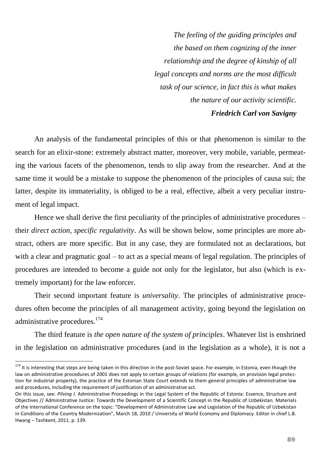*The feeling of the guiding principles and the based on them cognizing of the inner relationship and the degree of kinship of all legal concepts and norms are the most difficult task of our science, in fact this is what makes the nature of our activity scientific. Friedrich Carl von Savigny*

An analysis of the fundamental principles of this or that phenomenon is similar to the search for an elixir-stone: extremely abstract matter, moreover, very mobile, variable, permeating the various facets of the phenomenon, tends to slip away from the researcher. And at the same time it would be a mistake to suppose the phenomenon of the principles of causa sui; the latter, despite its immateriality, is obliged to be a real, effective, albeit a very peculiar instrument of legal impact.

Hence we shall derive the first peculiarity of the principles of administrative procedures – their *direct action, specific regulativity*. As will be shown below, some principles are more abstract, others are more specific. But in any case, they are formulated not as declarations, but with a clear and pragmatic goal – to act as a special means of legal regulation. The principles of procedures are intended to become a guide not only for the legislator, but also (which is extremely important) for the law enforcer.

Their second important feature is *universality*. The principles of administrative procedures often become the principles of all management activity, going beyond the legislation on administrative procedures.<sup>174</sup>

The third feature is *the open nature of the system of principles*. Whatever list is enshrined in the legislation on administrative procedures (and in the legislation as a whole), it is not a

 $\ddot{\phantom{a}}$ 

 $174$  It is interesting that steps are being taken in this direction in the post-Soviet space. For example, in Estonia, even though the law on administrative procedures of 2001 does not apply to certain groups of relations (for example, on provision legal protection for industrial property), the practice of the Estonian State Court extends to them general principles of administrative law and procedures, including the requirement of justification of an administrative act.

On this issue, see: *Pilving I.* Administrative Proceedings in the Legal System of the Republic of Estonia: Essence, Structure and Objectives // Administrative Justice: Towards the Development of a Scientific Concept in the Republic of Uzbekistan. Materials of the International Conference on the topic: "Development of Administrative Law and Legislation of the Republic of Uzbekistan in Conditions of the Country Modernization", March 18, 2010 / University of World Economy and Diplomacy. Editor in chief L.B. Hwang – Tashkent, 2011. p. 139.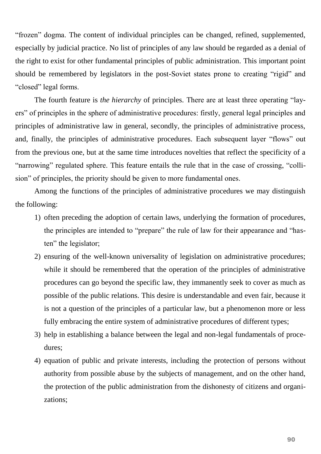"frozen" dogma. The content of individual principles can be changed, refined, supplemented, especially by judicial practice. No list of principles of any law should be regarded as a denial of the right to exist for other fundamental principles of public administration. This important point should be remembered by legislators in the post-Soviet states prone to creating "rigid" and "closed" legal forms.

The fourth feature is *the hierarchy* of principles. There are at least three operating "layers" of principles in the sphere of administrative procedures: firstly, general legal principles and principles of administrative law in general, secondly, the principles of administrative process, and, finally, the principles of administrative procedures. Each subsequent layer "flows" out from the previous one, but at the same time introduces novelties that reflect the specificity of a "narrowing" regulated sphere. This feature entails the rule that in the case of crossing, "collision" of principles, the priority should be given to more fundamental ones.

Among the functions of the principles of administrative procedures we may distinguish the following:

- 1) often preceding the adoption of certain laws, underlying the formation of procedures, the principles are intended to "prepare" the rule of law for their appearance and "hasten" the legislator;
- 2) ensuring of the well-known universality of legislation on administrative procedures; while it should be remembered that the operation of the principles of administrative procedures can go beyond the specific law, they immanently seek to cover as much as possible of the public relations. This desire is understandable and even fair, because it is not a question of the principles of a particular law, but a phenomenon more or less fully embracing the entire system of administrative procedures of different types;
- 3) help in establishing a balance between the legal and non-legal fundamentals of procedures;
- 4) equation of public and private interests, including the protection of persons without authority from possible abuse by the subjects of management, and on the other hand, the protection of the public administration from the dishonesty of citizens and organizations;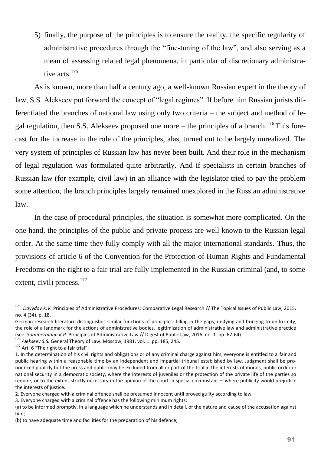5) finally, the purpose of the principles is to ensure the reality, the specific regularity of administrative procedures through the "fine-tuning of the law", and also serving as a mean of assessing related legal phenomena, in particular of discretionary administrative acts.<sup>175</sup>

As is known, more than half a century ago, a well-known Russian expert in the theory of law, S.S. Alekseev put forward the concept of "legal regimes". If before him Russian jurists differentiated the branches of national law using only two criteria – the subject and method of legal regulation, then S.S. Alekseev proposed one more – the principles of a branch.<sup>176</sup> This forecast for the increase in the role of the principles, alas, turned out to be largely unrealized. The very system of principles of Russian law has never been built. And their role in the mechanism of legal regulation was formulated quite arbitrarily. And if specialists in certain branches of Russian law (for example, civil law) in an alliance with the legislator tried to pay the problem some attention, the branch principles largely remained unexplored in the Russian administrative law.

In the case of procedural principles, the situation is somewhat more complicated. On the one hand, the principles of the public and private process are well known to the Russian legal order. At the same time they fully comply with all the major international standards. Thus, the provisions of article 6 of the Convention for the Protection of Human Rights and Fundamental Freedoms on the right to a fair trial are fully implemented in the Russian criminal (and, to some extent, civil) process.<sup>177</sup>

 175 *Davydov K.V.* Principles of Administrative Procedures: Comparative Legal Research // The Topical Issues of Public Law, 2015. no. 4 (34). p. 18.

German research literature distinguishes similar functions of principles: filling in the gaps, unifying and bringing to uniformity, the role of a landmark for the actions of administrative bodies, legitimization of administrative law and administrative practice (see: *Sommermann K.P.* Principles of Administrative Law // Digest of Public Law, 2016. no. 1. pp. 62-64).

<sup>176</sup> *Alekseev S.S.* General Theory of Law. Moscow, 1981. vol. 1. pp. 185, 245.

 $177$  Art. 6 "The right to a fair trial":

<sup>1.</sup> In the determination of his civil rights and obligations or of any criminal charge against him, everyone is entitled to a fair and public hearing within a reasonable time by an independent and impartial tribunal established by law. Judgment shall be pronounced publicly but the press and public may be excluded from all or part of the trial in the interests of morals, public order or national security in a democratic society, where the interests of juveniles or the protection of the private life of the parties so require, or to the extent strictly necessary in the opinion of the court in special circumstances where publicity would prejudice the interests of justice.

<sup>2.</sup> Everyone charged with a criminal offence shall be presumed innocent until proved guilty according to law.

<sup>3.</sup> Everyone charged with a criminal offence has the following minimum rights:

<sup>(</sup>a) to be informed promptly, in a language which he understands and in detail, of the nature and cause of the accusation against him;

<sup>(</sup>b) to have adequate time and facilities for the preparation of his defence;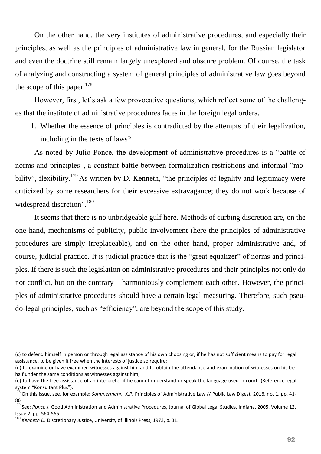On the other hand, the very institutes of administrative procedures, and especially their principles, as well as the principles of administrative law in general, for the Russian legislator and even the doctrine still remain largely unexplored and obscure problem. Of course, the task of analyzing and constructing a system of general principles of administrative law goes beyond the scope of this paper. $178$ 

However, first, let's ask a few provocative questions, which reflect some of the challenges that the institute of administrative procedures faces in the foreign legal orders.

1. Whether the essence of principles is contradicted by the attempts of their legalization, including in the texts of laws?

As noted by Julio Ponce, the development of administrative procedures is a "battle of norms and principles", a constant battle between formalization restrictions and informal "mobility", flexibility.<sup>179</sup> As written by D. Kenneth, "the principles of legality and legitimacy were criticized by some researchers for their excessive extravagance; they do not work because of widespread discretion".<sup>180</sup>

It seems that there is no unbridgeable gulf here. Methods of curbing discretion are, on the one hand, mechanisms of publicity, public involvement (here the principles of administrative procedures are simply irreplaceable), and on the other hand, proper administrative and, of course, judicial practice. It is judicial practice that is the "great equalizer" of norms and principles. If there is such the legislation on administrative procedures and their principles not only do not conflict, but on the contrary – harmoniously complement each other. However, the principles of administrative procedures should have a certain legal measuring. Therefore, such pseudo-legal principles, such as "efficiency", are beyond the scope of this study.

<sup>(</sup>c) to defend himself in person or through legal assistance of his own choosing or, if he has not sufficient means to pay for legal assistance, to be given it free when the interests of justice so require;

<sup>(</sup>d) to examine or have examined witnesses against him and to obtain the attendance and examination of witnesses on his behalf under the same conditions as witnesses against him;

<sup>(</sup>e) to have the free assistance of an interpreter if he cannot understand or speak the language used in court. (Reference legal system "Konsultant Plus").

<sup>178</sup> On this issue, see, for example: *Sommermann, K.P.* Principles of Administrative Law // Public Law Digest, 2016. no. 1. pp. 41- 86

<sup>179</sup> See: *Ponce J.* Good Administration and Administrative Procedures, Journal of Global Legal Studies, Indiana, 2005. Volume 12, Issue 2, pp. 564-565.

<sup>&</sup>lt;sup>180</sup> *Kenneth D.* Discretionary Justice, University of Illinois Press, 1973, p. 31.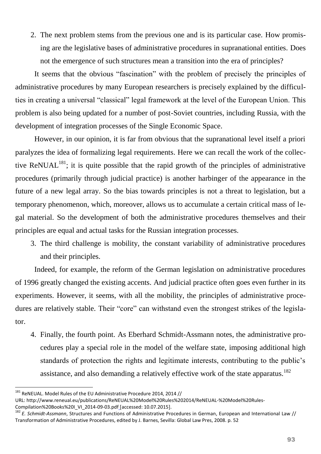2. The next problem stems from the previous one and is its particular case. How promising are the legislative bases of administrative procedures in supranational entities. Does not the emergence of such structures mean a transition into the era of principles?

It seems that the obvious "fascination" with the problem of precisely the principles of administrative procedures by many European researchers is precisely explained by the difficulties in creating a universal "classical" legal framework at the level of the European Union. This problem is also being updated for a number of post-Soviet countries, including Russia, with the development of integration processes of the Single Economic Space.

However, in our opinion, it is far from obvious that the supranational level itself a priori paralyzes the idea of formalizing legal requirements. Here we can recall the work of the collective ReNUAL<sup>181</sup>; it is quite possible that the rapid growth of the principles of administrative procedures (primarily through judicial practice) is another harbinger of the appearance in the future of a new legal array. So the bias towards principles is not a threat to legislation, but a temporary phenomenon, which, moreover, allows us to accumulate a certain critical mass of legal material. So the development of both the administrative procedures themselves and their principles are equal and actual tasks for the Russian integration processes.

3. The third challenge is mobility, the constant variability of administrative procedures and their principles.

Indeed, for example, the reform of the German legislation on administrative procedures of 1996 greatly changed the existing accents. And judicial practice often goes even further in its experiments. However, it seems, with all the mobility, the principles of administrative procedures are relatively stable. Their "core" can withstand even the strongest strikes of the legislator.

4. Finally, the fourth point. As Eberhard Schmidt-Assmann notes, the administrative procedures play a special role in the model of the welfare state, imposing additional high standards of protection the rights and legitimate interests, contributing to the public's assistance, and also demanding a relatively effective work of the state apparatus.<sup>182</sup>

 $181$  ReNEUAL. Model Rules of the EU Administrative Procedure 2014, 2014 //

URL: http://www.reneual.eu/publications/ReNEUAL%20Model%20Rules%202014/ReNEUAL-%20Model%20Rules-Compilation%20Books%20I\_VI\_2014-09-03.pdf accessed: 10.07.2015.

<sup>182</sup> *E. Schmidt-Assmann*, Structures and Functions of Administrative Procedures in German, European and International Law // Transformation of Administrative Procedures, edited by J. Barnes, Sevilla: Global Law Pres, 2008. p. 52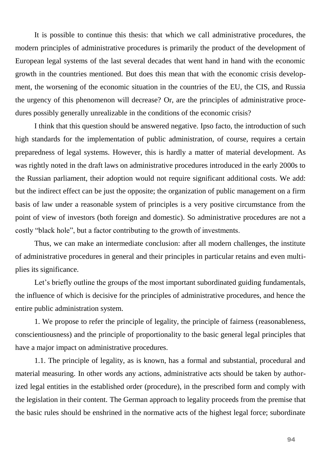It is possible to continue this thesis: that which we call administrative procedures, the modern principles of administrative procedures is primarily the product of the development of European legal systems of the last several decades that went hand in hand with the economic growth in the countries mentioned. But does this mean that with the economic crisis development, the worsening of the economic situation in the countries of the EU, the CIS, and Russia the urgency of this phenomenon will decrease? Or, are the principles of administrative procedures possibly generally unrealizable in the conditions of the economic crisis?

I think that this question should be answered negative. Ipso facto, the introduction of such high standards for the implementation of public administration, of course, requires a certain preparedness of legal systems. However, this is hardly a matter of material development. As was rightly noted in the draft laws on administrative procedures introduced in the early 2000s to the Russian parliament, their adoption would not require significant additional costs. We add: but the indirect effect can be just the opposite; the organization of public management on a firm basis of law under a reasonable system of principles is a very positive circumstance from the point of view of investors (both foreign and domestic). So administrative procedures are not a costly "black hole", but a factor contributing to the growth of investments.

Thus, we can make an intermediate conclusion: after all modern challenges, the institute of administrative procedures in general and their principles in particular retains and even multiplies its significance.

Let's briefly outline the groups of the most important subordinated guiding fundamentals, the influence of which is decisive for the principles of administrative procedures, and hence the entire public administration system.

1. We propose to refer the principle of legality, the principle of fairness (reasonableness, conscientiousness) and the principle of proportionality to the basic general legal principles that have a major impact on administrative procedures.

1.1. The principle of legality, as is known, has a formal and substantial, procedural and material measuring. In other words any actions, administrative acts should be taken by authorized legal entities in the established order (procedure), in the prescribed form and comply with the legislation in their content. The German approach to legality proceeds from the premise that the basic rules should be enshrined in the normative acts of the highest legal force; subordinate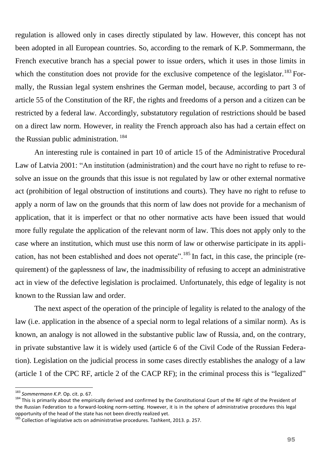regulation is allowed only in cases directly stipulated by law. However, this concept has not been adopted in all European countries. So, according to the remark of K.P. Sommermann, the French executive branch has a special power to issue orders, which it uses in those limits in which the constitution does not provide for the exclusive competence of the legislator.<sup>183</sup> Formally, the Russian legal system enshrines the German model, because, according to part 3 of article 55 of the Constitution of the RF, the rights and freedoms of a person and a citizen can be restricted by a federal law. Accordingly, substatutory regulation of restrictions should be based on a direct law norm. However, in reality the French approach also has had a certain effect on the Russian public administration. <sup>184</sup>

An interesting rule is contained in part 10 of article 15 of the Administrative Procedural Law of Latvia 2001: "An institution (administration) and the court have no right to refuse to resolve an issue on the grounds that this issue is not regulated by law or other external normative act (prohibition of legal obstruction of institutions and courts). They have no right to refuse to apply a norm of law on the grounds that this norm of law does not provide for a mechanism of application, that it is imperfect or that no other normative acts have been issued that would more fully regulate the application of the relevant norm of law. This does not apply only to the case where an institution, which must use this norm of law or otherwise participate in its application, has not been established and does not operate".<sup>185</sup> In fact, in this case, the principle (requirement) of the gaplessness of law, the inadmissibility of refusing to accept an administrative act in view of the defective legislation is proclaimed. Unfortunately, this edge of legality is not known to the Russian law and order.

The next aspect of the operation of the principle of legality is related to the analogy of the law (i.e. application in the absence of a special norm to legal relations of a similar norm). As is known, an analogy is not allowed in the substantive public law of Russia, and, on the contrary, in private substantive law it is widely used (article 6 of the Civil Code of the Russian Federation). Legislation on the judicial process in some cases directly establishes the analogy of a law (article 1 of the CPC RF, article 2 of the CACP RF); in the criminal process this is "legalized"

<sup>183</sup> *Sommermann K.P.* Op. cit. p. 67.

<sup>184</sup> This is primarily about the empirically derived and confirmed by the Constitutional Court of the RF right of the President of the Russian Federation to a forward-looking norm-setting. However, it is in the sphere of administrative procedures this legal opportunity of the head of the state has not been directly realized yet.

 $^{185}$  Collection of legislative acts on administrative procedures. Tashkent, 2013. p. 257.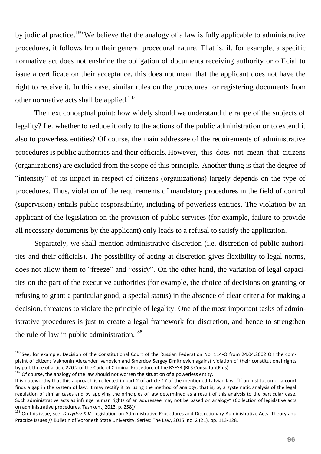by judicial practice.<sup>186</sup> We believe that the analogy of a law is fully applicable to administrative procedures, it follows from their general procedural nature. That is, if, for example, a specific normative act does not enshrine the obligation of documents receiving authority or official to issue a certificate on their acceptance, this does not mean that the applicant does not have the right to receive it. In this case, similar rules on the procedures for registering documents from other normative acts shall be applied.<sup>187</sup>

The next conceptual point: how widely should we understand the range of the subjects of legality? I.e. whether to reduce it only to the actions of the public administration or to extend it also to powerless entities? Of course, the main addressee of the requirements of administrative procedures is public authorities and their officials. However, this does not mean that citizens (organizations) are excluded from the scope of this principle. Another thing is that the degree of "intensity" of its impact in respect of citizens (organizations) largely depends on the type of procedures. Thus, violation of the requirements of mandatory procedures in the field of control (supervision) entails public responsibility, including of powerless entities. The violation by an applicant of the legislation on the provision of public services (for example, failure to provide all necessary documents by the applicant) only leads to a refusal to satisfy the application.

Separately, we shall mention administrative discretion (i.e. discretion of public authorities and their officials). The possibility of acting at discretion gives flexibility to legal norms, does not allow them to "freeze" and "ossify". On the other hand, the variation of legal capacities on the part of the executive authorities (for example, the choice of decisions on granting or refusing to grant a particular good, a special status) in the absence of clear criteria for making a decision, threatens to violate the principle of legality. One of the most important tasks of administrative procedures is just to create a legal framework for discretion, and hence to strengthen the rule of law in public administration.<sup>188</sup>

<sup>&</sup>lt;sup>186</sup> See, for example: Decision of the Constitutional Court of the Russian Federation No. 114-O from 24.04.2002 On the complaint of citizens Vakhonin Alexander Ivanovich and Smerdov Sergey Dmitrievich against violation of their constitutional rights by part three of article 220.2 of the Code of Criminal Procedure of the RSFSR (RLS ConsultantPlus).

Of course, the analogy of the law should not worsen the situation of a powerless entity.

It is noteworthy that this approach is reflected in part 2 of article 17 of the mentioned Latvian law: "If an institution or a court finds a gap in the system of law, it may rectify it by using the method of analogy, that is, by a systematic analysis of the legal regulation of similar cases and by applying the principles of law determined as a result of this analysis to the particular case. Such administrative acts as infringe human rights of an addressee may not be based on analogy" (Collection of legislative acts on administrative procedures. Tashkent, 2013. p. 258)/

<sup>188</sup> On this issue, see: *Davydov K.V.* Legislation on Administrative Procedures and Discretionary Administrative Acts: Theory and Practice Issues // Bulletin of Voronezh State University. Series: The Law, 2015. no. 2 (21). pp. 113-128.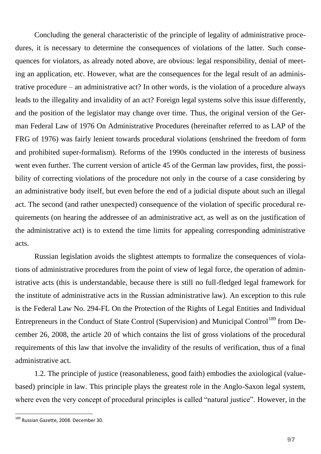Concluding the general characteristic of the principle of legality of administrative procedures, it is necessary to determine the consequences of violations of the latter. Such consequences for violators, as already noted above, are obvious: legal responsibility, denial of meeting an application, etc. However, what are the consequences for the legal result of an administrative procedure – an administrative act? In other words, is the violation of a procedure always leads to the illegality and invalidity of an act? Foreign legal systems solve this issue differently, and the position of the legislator may change over time. Thus, the original version of the German Federal Law of 1976 On Administrative Procedures (hereinafter referred to as LAP of the FRG of 1976) was fairly lenient towards procedural violations (enshrined the freedom of form and prohibited super-formalism). Reforms of the 1990s conducted in the interests of business went even further. The current version of article 45 of the German law provides, first, the possibility of correcting violations of the procedure not only in the course of a case considering by an administrative body itself, but even before the end of a judicial dispute about such an illegal act. The second (and rather unexpected) consequence of the violation of specific procedural requirements (on hearing the addressee of an administrative act, as well as on the justification of the administrative act) is to extend the time limits for appealing corresponding administrative acts.

Russian legislation avoids the slightest attempts to formalize the consequences of violations of administrative procedures from the point of view of legal force, the operation of administrative acts (this is understandable, because there is still no full-fledged legal framework for the institute of administrative acts in the Russian administrative law). An exception to this rule is the Federal Law No. 294-FL On the Protection of the Rights of Legal Entities and Individual Entrepreneurs in the Conduct of State Control (Supervision) and Municipal Control<sup>189</sup> from December 26, 2008, the article 20 of which contains the list of gross violations of the procedural requirements of this law that involve the invalidity of the results of verification, thus of a final administrative act.

1.2. The principle of justice (reasonableness, good faith) embodies the axiological (valuebased) principle in law. This principle plays the greatest role in the Anglo-Saxon legal system, where even the very concept of procedural principles is called "natural justice". However, in the

<sup>&</sup>lt;sup>189</sup> Russian Gazette, 2008. December 30.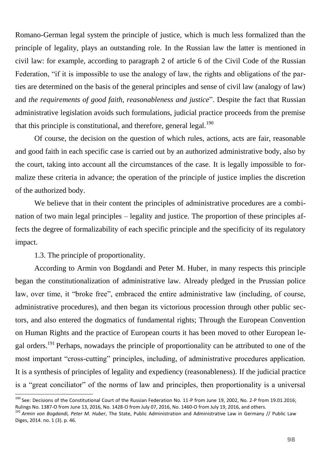Romano-German legal system the principle of justice, which is much less formalized than the principle of legality, plays an outstanding role. In the Russian law the latter is mentioned in civil law: for example, according to paragraph 2 of article 6 of the Civil Code of the Russian Federation, "if it is impossible to use the analogy of law, the rights and obligations of the parties are determined on the basis of the general principles and sense of civil law (analogy of law) and *the requirements of good faith, reasonableness and justice*". Despite the fact that Russian administrative legislation avoids such formulations, judicial practice proceeds from the premise that this principle is constitutional, and therefore, general legal. $190$ 

Of course, the decision on the question of which rules, actions, acts are fair, reasonable and good faith in each specific case is carried out by an authorized administrative body, also by the court, taking into account all the circumstances of the case. It is legally impossible to formalize these criteria in advance; the operation of the principle of justice implies the discretion of the authorized body.

We believe that in their content the principles of administrative procedures are a combination of two main legal principles – legality and justice. The proportion of these principles affects the degree of formalizability of each specific principle and the specificity of its regulatory impact.

1.3. The principle of proportionality.

 $\overline{a}$ 

According to Armin von Bogdandi and Peter M. Huber, in many respects this principle began the constitutionalization of administrative law. Already pledged in the Prussian police law, over time, it "broke free", embraced the entire administrative law (including, of course, administrative procedures), and then began its victorious procession through other public sectors, and also entered the dogmatics of fundamental rights; Through the European Convention on Human Rights and the practice of European courts it has been moved to other European legal orders.<sup>191</sup> Perhaps, nowadays the principle of proportionality can be attributed to one of the most important "cross-cutting" principles, including, of administrative procedures application. It is a synthesis of principles of legality and expediency (reasonableness). If the judicial practice is a "great conciliator" of the norms of law and principles, then proportionality is a universal

<sup>&</sup>lt;sup>190</sup> See: Decisions of the Constitutional Court of the Russian Federation No. 11-P from June 19, 2002, No. 2-P from 19.01.2016; Rulings No. 1387-О from June 13, 2016, No. 1428-О from July 07, 2016, No. 1460-О from July 19, 2016, and others.

<sup>191</sup> *Armin von Bogdandi, Peter M. Huber*, The State, Public Administration and Administrative Law in Germany // Public Law Diges, 2014. no. 1 (3). p. 46.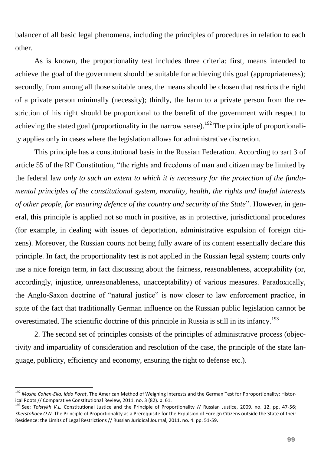balancer of all basic legal phenomena, including the principles of procedures in relation to each other.

As is known, the proportionality test includes three criteria: first, means intended to achieve the goal of the government should be suitable for achieving this goal (appropriateness); secondly, from among all those suitable ones, the means should be chosen that restricts the right of a private person minimally (necessity); thirdly, the harm to a private person from the restriction of his right should be proportional to the benefit of the government with respect to achieving the stated goal (proportionality in the narrow sense).<sup>192</sup> The principle of proportionality applies only in cases where the legislation allows for administrative discretion.

This principle has a constitutional basis in the Russian Federation. According to зart 3 of article 55 of the RF Constitution, "the rights and freedoms of man and citizen may be limited by the federal law *only to such an extent to which it is necessary for the protection of the fundamental principles of the constitutional system, morality, health, the rights and lawful interests of other people, for ensuring defence of the country and security of the State*". However, in general, this principle is applied not so much in positive, as in protective, jurisdictional procedures (for example, in dealing with issues of deportation, administrative expulsion of foreign citizens). Moreover, the Russian courts not being fully aware of its content essentially declare this principle. In fact, the proportionality test is not applied in the Russian legal system; courts only use a nice foreign term, in fact discussing about the fairness, reasonableness, acceptability (or, accordingly, injustice, unreasonableness, unacceptability) of various measures. Paradoxically, the Anglo-Saxon doctrine of "natural justice" is now closer to law enforcement practice, in spite of the fact that traditionally German influence on the Russian public legislation cannot be overestimated. The scientific doctrine of this principle in Russia is still in its infancy.<sup>193</sup>

2. The second set of principles consists of the principles of administrative process (objectivity and impartiality of consideration and resolution of the case, the principle of the state language, publicity, efficiency and economy, ensuring the right to defense etc.).

<sup>192</sup> *Moshe Cohen-Elia, Iddo Porat*, The American Method of Weighing Interests and the German Test for Pproportionality: Historical Roots // Comparative Constitutional Review, 2011. no. 3 (82). p. 61.

<sup>193</sup> See: *Tolstykh V.L.* Constitutional Justice and the Principle of Proportionality // Russian Justice, 2009. no. 12. pp. 47-56; *Sherstoboev O.N.* The Principle of Proportionality as a Prerequisite for the Expulsion of Foreign Citizens outside the State of their Residence: the Limits of Legal Restrictions // Russian Juridical Journal, 2011. no. 4. pp. 51-59.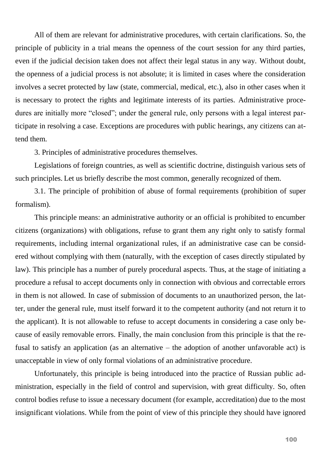All of them are relevant for administrative procedures, with certain clarifications. So, the principle of publicity in a trial means the openness of the court session for any third parties, even if the judicial decision taken does not affect their legal status in any way. Without doubt, the openness of a judicial process is not absolute; it is limited in cases where the consideration involves a secret protected by law (state, commercial, medical, etc.), also in other cases when it is necessary to protect the rights and legitimate interests of its parties. Administrative procedures are initially more "closed"; under the general rule, only persons with a legal interest participate in resolving a case. Exceptions are procedures with public hearings, any citizens can attend them.

3. Principles of administrative procedures themselves.

Legislations of foreign countries, as well as scientific doctrine, distinguish various sets of such principles. Let us briefly describe the most common, generally recognized of them.

3.1. The principle of prohibition of abuse of formal requirements (prohibition of super formalism).

This principle means: an administrative authority or an official is prohibited to encumber citizens (organizations) with obligations, refuse to grant them any right only to satisfy formal requirements, including internal organizational rules, if an administrative case can be considered without complying with them (naturally, with the exception of cases directly stipulated by law). This principle has a number of purely procedural aspects. Thus, at the stage of initiating a procedure a refusal to accept documents only in connection with obvious and correctable errors in them is not allowed. In case of submission of documents to an unauthorized person, the latter, under the general rule, must itself forward it to the competent authority (and not return it to the applicant). It is not allowable to refuse to accept documents in considering a case only because of easily removable errors. Finally, the main conclusion from this principle is that the refusal to satisfy an application (as an alternative – the adoption of another unfavorable act) is unacceptable in view of only formal violations of an administrative procedure.

Unfortunately, this principle is being introduced into the practice of Russian public administration, especially in the field of control and supervision, with great difficulty. So, often control bodies refuse to issue a necessary document (for example, accreditation) due to the most insignificant violations. While from the point of view of this principle they should have ignored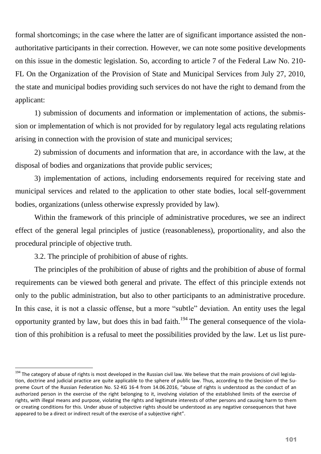formal shortcomings; in the case where the latter are of significant importance assisted the nonauthoritative participants in their correction. However, we can note some positive developments on this issue in the domestic legislation. So, according to article 7 of the Federal Law No. 210- FL On the Organization of the Provision of State and Municipal Services from July 27, 2010, the state and municipal bodies providing such services do not have the right to demand from the applicant:

1) submission of documents and information or implementation of actions, the submission or implementation of which is not provided for by regulatory legal acts regulating relations arising in connection with the provision of state and municipal services;

2) submission of documents and information that are, in accordance with the law, at the disposal of bodies and organizations that provide public services;

3) implementation of actions, including endorsements required for receiving state and municipal services and related to the application to other state bodies, local self-government bodies, organizations (unless otherwise expressly provided by law).

Within the framework of this principle of administrative procedures, we see an indirect effect of the general legal principles of justice (reasonableness), proportionality, and also the procedural principle of objective truth.

3.2. The principle of prohibition of abuse of rights.

 $\overline{a}$ 

The principles of the prohibition of abuse of rights and the prohibition of abuse of formal requirements can be viewed both general and private. The effect of this principle extends not only to the public administration, but also to other participants to an administrative procedure. In this case, it is not a classic offense, but a more "subtle" deviation. An entity uses the legal opportunity granted by law, but does this in bad faith.<sup>194</sup> The general consequence of the violation of this prohibition is a refusal to meet the possibilities provided by the law. Let us list pure-

<sup>&</sup>lt;sup>194</sup> The category of abuse of rights is most developed in the Russian civil law. We believe that the main provisions of civil legislation, doctrine and judicial practice are quite applicable to the sphere of public law. Thus, according to the Decision of the Supreme Court of the Russian Federation No. 52-KG 16-4 from 14.06.2016, "abuse of rights is understood as the conduct of an authorized person in the exercise of the right belonging to it, involving violation of the established limits of the exercise of rights, with illegal means and purpose, violating the rights and legitimate interests of other persons and causing harm to them or creating conditions for this. Under abuse of subjective rights should be understood as any negative consequences that have appeared to be a direct or indirect result of the exercise of a subjective right".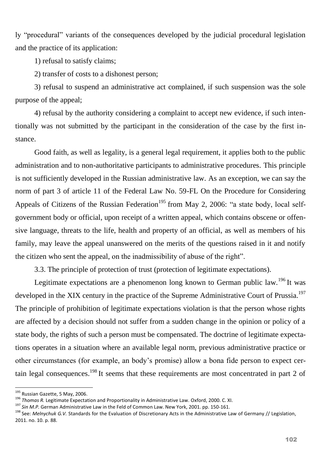ly "procedural" variants of the consequences developed by the judicial procedural legislation and the practice of its application:

1) refusal to satisfy claims;

2) transfer of costs to a dishonest person;

3) refusal to suspend an administrative act complained, if such suspension was the sole purpose of the appeal;

4) refusal by the authority considering a complaint to accept new evidence, if such intentionally was not submitted by the participant in the consideration of the case by the first instance.

Good faith, as well as legality, is a general legal requirement, it applies both to the public administration and to non-authoritative participants to administrative procedures. This principle is not sufficiently developed in the Russian administrative law. As an exception, we can say the norm of part 3 of article 11 of the Federal Law No. 59-FL On the Procedure for Considering Appeals of Citizens of the Russian Federation<sup>195</sup> from May 2, 2006: "a state body, local selfgovernment body or official, upon receipt of a written appeal, which contains obscene or offensive language, threats to the life, health and property of an official, as well as members of his family, may leave the appeal unanswered on the merits of the questions raised in it and notify the citizen who sent the appeal, on the inadmissibility of abuse of the right".

3.3. The principle of protection of trust (protection of legitimate expectations).

Legitimate expectations are a phenomenon long known to German public law.<sup>196</sup> It was developed in the XIX century in the practice of the Supreme Administrative Court of Prussia.<sup>197</sup> The principle of prohibition of legitimate expectations violation is that the person whose rights are affected by a decision should not suffer from a sudden change in the opinion or policy of a state body, the rights of such a person must be compensated. The doctrine of legitimate expectations operates in a situation where an available legal norm, previous administrative practice or other circumstances (for example, an body's promise) allow a bona fide person to expect certain legal consequences.<sup>198</sup> It seems that these requirements are most concentrated in part 2 of

<sup>&</sup>lt;sup>195</sup> Russian Gazette, 5 May, 2006.

<sup>196</sup> *Thomas R.* Legitimate Expectation and Proportionality in Administrative Law. Oxford, 2000. C. XI.

<sup>197</sup> *Sin M.P.* German Administrative Law in the Feld of Common Law. New York, 2001. pp. 150-161.

<sup>198</sup> See: *Melnychuk G.V.* Standards for the Evaluation of Discretionary Acts in the Administrative Law of Germany // Legislation, 2011. no. 10. p. 88.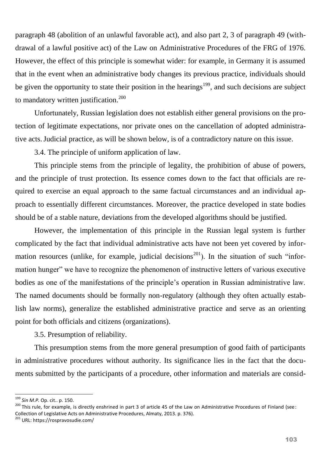paragraph 48 (abolition of an unlawful favorable act), and also part 2, 3 of paragraph 49 (withdrawal of a lawful positive act) of the Law on Administrative Procedures of the FRG of 1976. However, the effect of this principle is somewhat wider: for example, in Germany it is assumed that in the event when an administrative body changes its previous practice, individuals should be given the opportunity to state their position in the hearings<sup>199</sup>, and such decisions are subject to mandatory written justification.<sup>200</sup>

Unfortunately, Russian legislation does not establish either general provisions on the protection of legitimate expectations, nor private ones on the cancellation of adopted administrative acts.Judicial practice, as will be shown below, is of a contradictory nature on this issue.

3.4. The principle of uniform application of law.

This principle stems from the principle of legality, the prohibition of abuse of powers, and the principle of trust protection. Its essence comes down to the fact that officials are required to exercise an equal approach to the same factual circumstances and an individual approach to essentially different circumstances. Moreover, the practice developed in state bodies should be of a stable nature, deviations from the developed algorithms should be justified.

However, the implementation of this principle in the Russian legal system is further complicated by the fact that individual administrative acts have not been yet covered by information resources (unlike, for example, judicial decisions<sup>201</sup>). In the situation of such "information hunger" we have to recognize the phenomenon of instructive letters of various executive bodies as one of the manifestations of the principle's operation in Russian administrative law. The named documents should be formally non-regulatory (although they often actually establish law norms), generalize the established administrative practice and serve as an orienting point for both officials and citizens (organizations).

3.5. Presumption of reliability.

This presumption stems from the more general presumption of good faith of participants in administrative procedures without authority. Its significance lies in the fact that the documents submitted by the participants of a procedure, other information and materials are consid-

<sup>199</sup> *Sin M.P.* Op. cit.. p. 150.

<sup>&</sup>lt;sup>200</sup> This rule, for example, is directly enshrined in part 3 of article 45 of the Law on Administrative Procedures of Finland (see: Collection of Legislative Acts on Administrative Procedures, Almaty, 2013. p. 376).

<sup>&</sup>lt;sup>201</sup> URL: https://rospravosudie.com/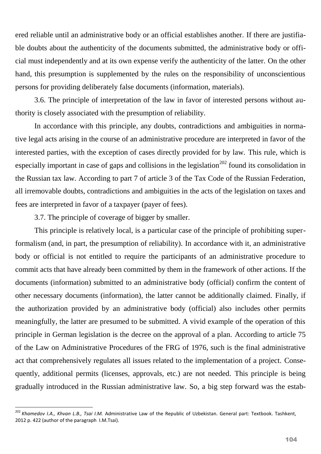ered reliable until an administrative body or an official establishes another. If there are justifiable doubts about the authenticity of the documents submitted, the administrative body or official must independently and at its own expense verify the authenticity of the latter. On the other hand, this presumption is supplemented by the rules on the responsibility of unconscientious persons for providing deliberately false documents (information, materials).

3.6. The principle of interpretation of the law in favor of interested persons without authority is closely associated with the presumption of reliability.

In accordance with this principle, any doubts, contradictions and ambiguities in normative legal acts arising in the course of an administrative procedure are interpreted in favor of the interested parties, with the exception of cases directly provided for by law. This rule, which is especially important in case of gaps and collisions in the legislation<sup> $202$ </sup> found its consolidation in the Russian tax law. According to part 7 of article 3 of the Tax Code of the Russian Federation, all irremovable doubts, contradictions and ambiguities in the acts of the legislation on taxes and fees are interpreted in favor of a taxpayer (payer of fees).

3.7. The principle of coverage of bigger by smaller.

 $\overline{a}$ 

This principle is relatively local, is a particular case of the principle of prohibiting superformalism (and, in part, the presumption of reliability). In accordance with it, an administrative body or official is not entitled to require the participants of an administrative procedure to commit acts that have already been committed by them in the framework of other actions. If the documents (information) submitted to an administrative body (official) confirm the content of other necessary documents (information), the latter cannot be additionally claimed. Finally, if the authorization provided by an administrative body (official) also includes other permits meaningfully, the latter are presumed to be submitted. A vivid example of the operation of this principle in German legislation is the decree on the approval of a plan. According to article 75 of the Law on Administrative Procedures of the FRG of 1976, such is the final administrative act that comprehensively regulates all issues related to the implementation of a project. Consequently, additional permits (licenses, approvals, etc.) are not needed. This principle is being gradually introduced in the Russian administrative law. So, a big step forward was the estab-

<sup>202</sup> *Khamedov I.A., Khvan L.B., Tsai I.M.* Administrative Law of the Republic of Uzbekistan. General part: Textbook. Tashkent, 2012 p. 422 (author of the paragraph I.M.Tsai).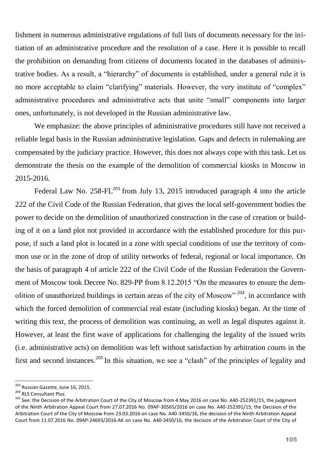lishment in numerous administrative regulations of full lists of documents necessary for the initiation of an administrative procedure and the resolution of a case. Here it is possible to recall the prohibition on demanding from citizens of documents located in the databases of administrative bodies. As a result, a "hierarchy" of documents is established, under a general rule it is no more acceptable to claim "clarifying" materials. However, the very institute of "complex" administrative procedures and administrative acts that unite "small" components into larger ones, unfortunately, is not developed in the Russian administrative law.

We emphasize: the above principles of administrative procedures still have not received a reliable legal basis in the Russian administrative legislation. Gaps and defects in rulemaking are compensated by the judiciary practice. However, this does not always cope with this task. Let us demonstrate the thesis on the example of the demolition of commercial kiosks in Moscow in 2015-2016.

Federal Law No.  $258$ -FL<sup>203</sup> from July 13, 2015 introduced paragraph 4 into the article 222 of the Civil Code of the Russian Federation, that gives the local self-government bodies the power to decide on the demolition of unauthorized construction in the case of creation or building of it on a land plot not provided in accordance with the established procedure for this purpose, if such a land plot is located in a zone with special conditions of use the territory of common use or in the zone of drop of utility networks of federal, regional or local importance. On the basis of paragraph 4 of article 222 of the Civil Code of the Russian Federation the Government of Moscow took Decree No. 829-PP from 8.12.2015 "On the measures to ensure the demolition of unauthorized buildings in certain areas of the city of Moscow"  $204$ , in accordance with which the forced demolition of commercial real estate (including kiosks) began. At the time of writing this text, the process of demolition was continuing, as well as legal disputes against it. However, at least the first wave of applications for challenging the legality of the issued writs (i.e. administrative acts) on demolition was left without satisfaction by arbitration courts in the first and second instances.<sup>205</sup> In this situation, we see a "clash" of the principles of legality and

<sup>&</sup>lt;sup>203</sup> Russian Gazette, June 16, 2015.

<sup>204</sup> RLS Consultant Plus.

<sup>&</sup>lt;sup>205</sup> See: the Decision of the Arbitration Court of the City of Moscow from 4 May 2016 on case No. A40-252391/15, the judgment of the Ninth Arbitration Appeal Court from 27.07.2016 No. 09AP-30565/2016 on case No. A40-252391/15; the Decision of the Arbitration Court of the City of Moscow from 23.03.2016 on case No. A40-3450/16, the decision of the Ninth Arbitration Appeal Court from 11.07.2016 No. 09AP-24693/2016-AK on case No. A40-3450/16; the decision of the Arbitration Court of the City of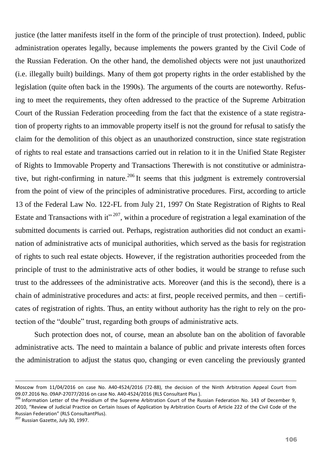justice (the latter manifests itself in the form of the principle of trust protection). Indeed, public administration operates legally, because implements the powers granted by the Civil Code of the Russian Federation. On the other hand, the demolished objects were not just unauthorized (i.e. illegally built) buildings. Many of them got property rights in the order established by the legislation (quite often back in the 1990s). The arguments of the courts are noteworthy. Refusing to meet the requirements, they often addressed to the practice of the Supreme Arbitration Court of the Russian Federation proceeding from the fact that the existence of a state registration of property rights to an immovable property itself is not the ground for refusal to satisfy the claim for the demolition of this object as an unauthorized construction, since state registration of rights to real estate and transactions carried out in relation to it in the Unified State Register of Rights to Immovable Property and Transactions Therewith is not constitutive or administrative, but right-confirming in nature.<sup>206</sup> It seems that this judgment is extremely controversial from the point of view of the principles of administrative procedures. First, according to article 13 of the Federal Law No. 122-FL from July 21, 1997 On State Registration of Rights to Real Estate and Transactions with it"  $207$ , within a procedure of registration a legal examination of the submitted documents is carried out. Perhaps, registration authorities did not conduct an examination of administrative acts of municipal authorities, which served as the basis for registration of rights to such real estate objects. However, if the registration authorities proceeded from the principle of trust to the administrative acts of other bodies, it would be strange to refuse such trust to the addressees of the administrative acts. Moreover (and this is the second), there is a chain of administrative procedures and acts: at first, people received permits, and then – certificates of registration of rights. Thus, an entity without authority has the right to rely on the protection of the "double" trust, regarding both groups of administrative acts.

Such protection does not, of course, mean an absolute ban on the abolition of favorable administrative acts. The need to maintain a balance of public and private interests often forces the administration to adjust the status quo, changing or even canceling the previously granted

Moscow from 11/04/2016 on case No. A40-4524/2016 (72-88), the decision of the Ninth Arbitration Appeal Court from 09.07.2016 No. 09AP-27077/2016 on case No. A40-4524/2016 (RLS Consultant Plus ).

<sup>&</sup>lt;sup>206</sup> Information Letter of the Presidium of the Supreme Arbitration Court of the Russian Federation No. 143 of December 9, 2010, "Review of Judicial Practice on Certain Issues of Application by Arbitration Courts of Article 222 of the Civil Code of the Russian Federation" (RLS ConsultantPlus).

<sup>&</sup>lt;sup>207</sup> Russian Gazette, July 30, 1997.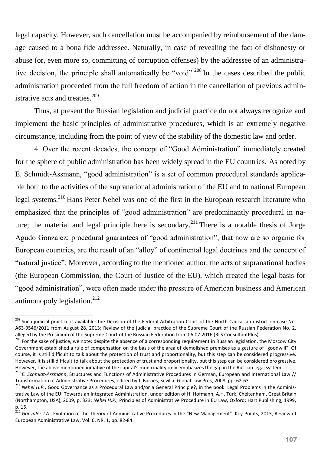legal capacity. However, such cancellation must be accompanied by reimbursement of the damage caused to a bona fide addressee. Naturally, in case of revealing the fact of dishonesty or abuse (or, even more so, committing of corruption offenses) by the addressee of an administrative decision, the principle shall automatically be "void".<sup>208</sup> In the cases described the public administration proceeded from the full freedom of action in the cancellation of previous administrative acts and treaties.<sup>209</sup>

Thus, at present the Russian legislation and judicial practice do not always recognize and implement the basic principles of administrative procedures, which is an extremely negative circumstance, including from the point of view of the stability of the domestic law and order.

4. Over the recent decades, the concept of "Good Administration" immediately created for the sphere of public administration has been widely spread in the EU countries. As noted by E. Schmidt-Assmann, "good administration" is a set of common procedural standards applicable both to the activities of the supranational administration of the EU and to national European legal systems.<sup>210</sup> Hans Peter Nehel was one of the first in the European research literature who emphasized that the principles of "good administration" are predominantly procedural in nature; the material and legal principle here is secondary.<sup>211</sup> There is a notable thesis of Jorge Agudo Gonzalez: procedural guarantees of "good administration", that now are so organic for European countries, are the result of an "alloy" of continental legal doctrines and the concept of "natural justice". Moreover, according to the mentioned author, the acts of supranational bodies (the European Commission, the Court of Justice of the EU), which created the legal basis for "good administration", were often made under the pressure of American business and American antimonopoly legislation. $^{212}$ 

<sup>&</sup>lt;sup>208</sup> Such judicial practice is available: the Decision of the Federal Arbitration Court of the North Caucasian district on case No. A63-9546/2011 from August 28, 2013; Review of the judicial practice of the Supreme Court of the Russian Federation No. 2, alleged by the Presidium of the Supreme Court of the Russian Federation from 06.07.2016 (RLS ConsultantPlus).

ancepted by the reduction of the burghtenes center in the sense of a corresponding requirement in Russian legislation, the Moscow City Government established a rule of compensation on the basis of the area of demolished premises as a gesture of "goodwill". Of course, it is still difficult to talk about the protection of trust and proportionality, but this step can be considered progressive. However, it is still difficult to talk about the protection of trust and proportionality, but this step can be considered progressive. However, the above mentioned initiative of the capital's municipality only emphasizes the gap in the Russian legal system.

<sup>210</sup> *E. Schmidt-Assmann*, Structures and Functions of Administrative Procedures in German, European and International Law // Transformation of Administrative Procedures, edited by J. Barnes, Sevilla: Global Law Pres, 2008. pp. 62-63.

<sup>&</sup>lt;sup>211</sup> Nehel H.P., Good Governance as a Procedural Law and/or a General Principle?, in the book: Legal Problems in the Administrative Law of the EU. Towards an Integrated Administration, under edition of H. Hofmann, A.H. Türk, Cheltenham, Great Britain (Northampton, USA), 2009, p. 323; *Nehel H.P.*, Principles of Administrative Procedure in EU Law, Oxford: Hart Publishing, 1999, p. 15.

<sup>212</sup> *Gonzalez J.A.*, Evolution of the Theory of Administrative Procedures in the "New Management". Key Points, 2013, Review of European Administrative Law, Vol. 6, NR. 1, pp. 82-84.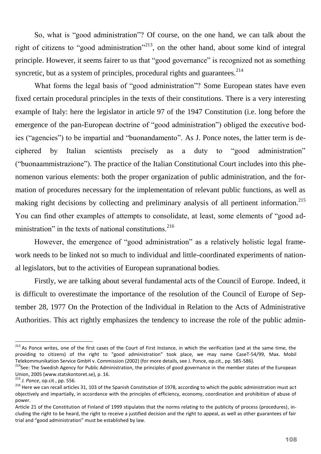So, what is "good administration"? Of course, on the one hand, we can talk about the right of citizens to "good administration"<sup>213</sup>, on the other hand, about some kind of integral principle. However, it seems fairer to us that "good governance" is recognized not as something syncretic, but as a system of principles, procedural rights and guarantees.<sup>214</sup>

What forms the legal basis of "good administration"? Some European states have even fixed certain procedural principles in the texts of their constitutions. There is a very interesting example of Italy: here the legislator in article 97 of the 1947 Constitution (i.e. long before the emergence of the pan-European doctrine of "good administration") obliged the executive bodies ("agencies") to be impartial and "buonandamento". As J. Ponce notes, the latter term is deciphered by Italian scientists precisely as a duty to "good administration" ("buonaammistrazione"). The practice of the Italian Constitutional Court includes into this phenomenon various elements: both the proper organization of public administration, and the formation of procedures necessary for the implementation of relevant public functions, as well as making right decisions by collecting and preliminary analysis of all pertinent information.<sup>215</sup> You can find other examples of attempts to consolidate, at least, some elements of "good administration" in the texts of national constitutions. $^{216}$ 

However, the emergence of "good administration" as a relatively holistic legal framework needs to be linked not so much to individual and little-coordinated experiments of national legislators, but to the activities of European supranational bodies.

Firstly, we are talking about several fundamental acts of the Council of Europe. Indeed, it is difficult to overestimate the importance of the resolution of the Council of Europe of September 28, 1977 On the Protection of the Individual in Relation to the Acts of Administrative Authorities. This act rightly emphasizes the tendency to increase the role of the public admin-

<sup>&</sup>lt;sup>213</sup> As Ponce writes, one of the first cases of the Court of First Instance, in which the verification (and at the same time, the providing to citizens) of the right to "good administration" took place, we may name CaseT-54/99, Max. Mobil Telekommunikation Service GmbH v. Commission (2002) (for more details, see J. Ponce, op.cit., pp. 585-586).

<sup>&</sup>lt;sup>214</sup>See: The Swedish Agency for Public Administration, the principles of good governance in the member states of the European Union, 2005 (www.statskontoret.se), p. 16.

<sup>215</sup> *J. Ponce*, op.cit., pp. 556.

<sup>&</sup>lt;sup>216</sup> Here we can recall articles 31, 103 of the Spanish Constitution of 1978, according to which the public administration must act objectively and impartially, in accordance with the principles of efficiency, economy, coordination and prohibition of abuse of power.

Article 21 of the Constitution of Finland of 1999 stipulates that the norms relating to the publicity of process (procedures), including the right to be heard, the right to receive a justified decision and the right to appeal, as well as other guarantees of fair trial and "good administration" must be established by law.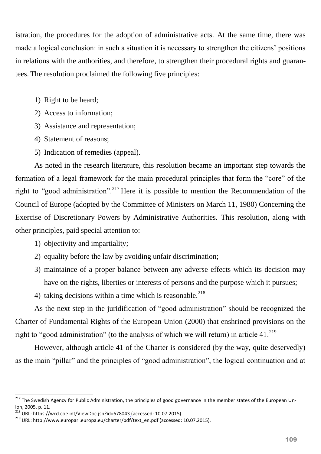istration, the procedures for the adoption of administrative acts. At the same time, there was made a logical conclusion: in such a situation it is necessary to strengthen the citizens' positions in relations with the authorities, and therefore, to strengthen their procedural rights and guarantees. The resolution proclaimed the following five principles:

- 1) Right to be heard;
- 2) Access to information;
- 3) Assistance and representation;
- 4) Statement of reasons;
- 5) Indication of remedies (appeal).

As noted in the research literature, this resolution became an important step towards the formation of a legal framework for the main procedural principles that form the "core" of the right to "good administration".<sup>217</sup> Here it is possible to mention the Recommendation of the Council of Europe (adopted by the Committee of Ministers on March 11, 1980) Concerning the Exercise of Discretionary Powers by Administrative Authorities. This resolution, along with other principles, paid special attention to:

- 1) objectivity and impartiality;
- 2) equality before the law by avoiding unfair discrimination;
- 3) maintaince of a proper balance between any adverse effects which its decision may have on the rights, liberties or interests of persons and the purpose which it pursues;
- 4) taking decisions within a time which is reasonable.<sup>218</sup>

As the next step in the juridification of "good administration" should be recognized the Charter of Fundamental Rights of the European Union (2000) that enshrined provisions on the right to "good administration" (to the analysis of which we will return) in article  $41.^{219}$ 

However, although article 41 of the Charter is considered (by the way, quite deservedly) as the main "pillar" and the principles of "good administration", the logical continuation and at

<sup>&</sup>lt;sup>217</sup> The Swedish Agency for Public Administration, the principles of good governance in the member states of the European Union, 2005. p. 11.

<sup>&</sup>lt;sup>218</sup> URL: https://wcd.coe.int/ViewDoc.jsp?id=678043\_(accessed: 10.07.2015).

<sup>219</sup> URL: http://www.europarl.europa.eu/charter/pdf/text\_en.pdf (accessed: 10.07.2015).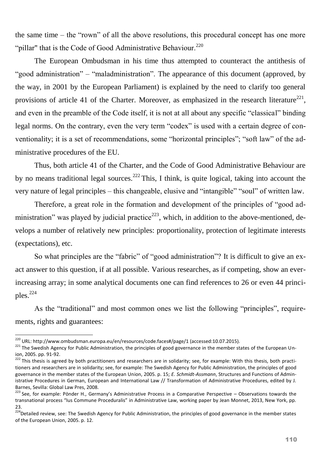the same time – the "rown" of all the above resolutions, this procedural concept has one more "pillar" that is the Code of Good Administrative Behaviour.<sup>220</sup>

The European Ombudsman in his time thus attempted to counteract the antithesis of "good administration" – "maladministration". The appearance of this document (approved, by the way, in 2001 by the European Parliament) is explained by the need to clarify too general provisions of article 41 of the Charter. Moreover, as emphasized in the research literature<sup>221</sup>, and even in the preamble of the Code itself, it is not at all about any specific "classical" binding legal norms. On the contrary, even the very term "codex" is used with a certain degree of conventionality; it is a set of recommendations, some "horizontal principles"; "soft law" of the administrative procedures of the EU.

Thus, both article 41 of the Charter, and the Code of Good Administrative Behaviour are by no means traditional legal sources.<sup>222</sup> This, I think, is quite logical, taking into account the very nature of legal principles – this changeable, elusive and "intangible" "soul" of written law.

Therefore, a great role in the formation and development of the principles of "good administration" was played by judicial practice<sup>223</sup>, which, in addition to the above-mentioned, develops a number of relatively new principles: proportionality, protection of legitimate interests (expectations), etc.

So what principles are the "fabric" of "good administration"? It is difficult to give an exact answer to this question, if at all possible. Various researches, as if competing, show an everincreasing array; in some analytical documents one can find references to 26 or even 44 principles.<sup>224</sup>

As the "traditional" and most common ones we list the following "principles", requirements, rights and guarantees:

<sup>&</sup>lt;sup>220</sup> URL: http://www.ombudsman.europa.eu/en/resources/code.faces#/page/1 (accessed:10.07.2015).

<sup>&</sup>lt;sup>221</sup> The Swedish Agency for Public Administration, the principles of good governance in the member states of the European Union, 2005. pp. 91-92.

<sup>&</sup>lt;sup>222</sup> This thesis is agreed by both practitioners and researchers are in solidarity; see, for example: With this thesis, both practitioners and researchers are in solidarity; see, for example: The Swedish Agency for Public Administration, the principles of good governance in the member states of the European Union, 2005. p. 15; *E. Schmidt-Assmann*, Structures and Functions of Administrative Procedures in German, European and International Law // Transformation of Administrative Procedures, edited by J. Barnes, Sevilla: Global Law Pres, 2008.

<sup>&</sup>lt;sup>223</sup> See, for example: Pönder H., Germany's Administrative Process in a Comparative Perspective – Observations towards the transnational process "Ius Commune Proceduralis" in Administrative Law, working paper by Jean Monnet, 2013, New York, pp.  $23.$ 

<sup>224.&</sup>lt;br><sup>224</sup>Detailed review, see: The Swedish Agency for Public Administration, the principles of good governance in the member states of the European Union, 2005. p. 12.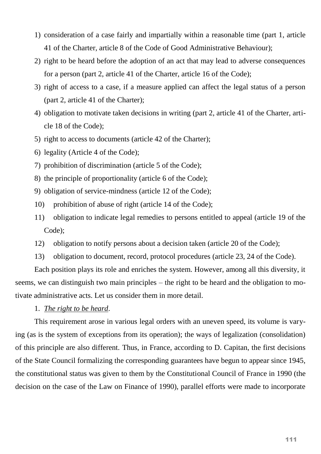- 1) consideration of a case fairly and impartially within a reasonable time (part 1, article 41 of the Charter, article 8 of the Code of Good Administrative Behaviour);
- 2) right to be heard before the adoption of an act that may lead to adverse consequences for a person (part 2, article 41 of the Charter, article 16 of the Code);
- 3) right of access to a case, if a measure applied can affect the legal status of a person (part 2, article 41 of the Charter);
- 4) obligation to motivate taken decisions in writing (part 2, article 41 of the Charter, article 18 of the Code);
- 5) right to access to documents (article 42 of the Charter);
- 6) legality (Article 4 of the Code);
- 7) prohibition of discrimination (article 5 of the Code);
- 8) the principle of proportionality (article 6 of the Code);
- 9) obligation of service-mindness (article 12 of the Code);
- 10) prohibition of abuse of right (article 14 of the Code);
- 11) obligation to indicate legal remedies to persons entitled to appeal (article 19 of the Code);
- 12) obligation to notify persons about a decision taken (article 20 of the Code);
- 13) obligation to document, record, protocol procedures (article 23, 24 of the Code).

Each position plays its role and enriches the system. However, among all this diversity, it seems, we can distinguish two main principles – the right to be heard and the obligation to motivate administrative acts. Let us consider them in more detail.

1. *The right to be heard*.

This requirement arose in various legal orders with an uneven speed, its volume is varying (as is the system of exceptions from its operation); the ways of legalization (consolidation) of this principle are also different. Thus, in France, according to D. Capitan, the first decisions of the State Council formalizing the corresponding guarantees have begun to appear since 1945, the constitutional status was given to them by the Constitutional Council of France in 1990 (the decision on the case of the Law on Finance of 1990), parallel efforts were made to incorporate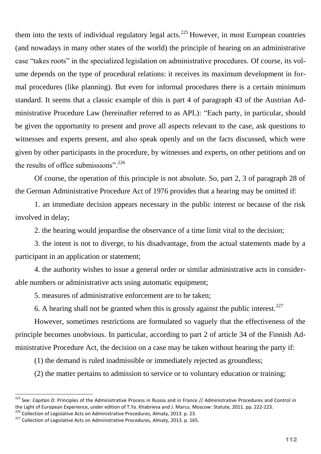them into the texts of individual regulatory legal acts.<sup>225</sup> However, in most European countries (and nowadays in many other states of the world) the principle of hearing on an administrative case "takes roots" in the specialized legislation on administrative procedures. Of course, its volume depends on the type of procedural relations: it receives its maximum development in formal procedures (like planning). But even for informal procedures there is a certain minimum standard. It seems that a classic example of this is part 4 of paragraph 43 of the Austrian Administrative Procedure Law (hereinafter referred to as APL): "Each party, in particular, should be given the opportunity to present and prove all aspects relevant to the case, ask questions to witnesses and experts present, and also speak openly and on the facts discussed, which were given by other participants in the procedure, by witnesses and experts, on other petitions and on the results of office submissions".  $226$ 

Of course, the operation of this principle is not absolute. So, part 2, 3 of paragraph 28 of the German Administrative Procedure Act of 1976 provides that a hearing may be omitted if:

1. an immediate decision appears necessary in the public interest or because of the risk involved in delay;

2. the hearing would jeopardise the observance of a time limit vital to the decision;

3. the intent is not to diverge, to his disadvantage, from the actual statements made by a participant in an application or statement;

4. the authority wishes to issue a general order or similar administrative acts in considerable numbers or administrative acts using automatic equipment;

5. measures of administrative enforcement are to be taken;

6. A hearing shall not be granted when this is grossly against the public interest.<sup>227</sup>

However, sometimes restrictions are formulated so vaguely that the effectiveness of the principle becomes unobvious. In particular, according to part 2 of article 34 of the Finnish Administrative Procedure Act, the decision on a case may be taken without hearing the party if:

(1) the demand is ruled inadmissible or immediately rejected as groundless;

(2) the matter pertains to admission to service or to voluntary education or training;

<sup>225</sup> See: *Capitan D.* Principles of the Administrative Process in Russia and in France // Administrative Procedures and Control in the Light of European Experience, under edition of T.Ya. Khabrieva and J. Marcu. Moscow: Statute, 2011. pp. 222-223.

<sup>&</sup>lt;sup>226</sup> Collection of Legislative Acts on Administrative Procedures, Almaty, 2013. p. 23.

<sup>227</sup> Collection of Legislative Acts on Administrative Procedures, Almaty, 2013. p. 165.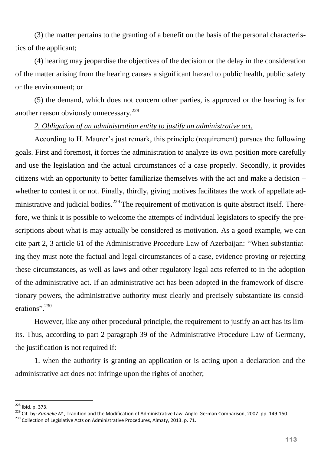(3) the matter pertains to the granting of a benefit on the basis of the personal characteristics of the applicant;

(4) hearing may jeopardise the objectives of the decision or the delay in the consideration of the matter arising from the hearing causes a significant hazard to public health, public safety or the environment; or

(5) the demand, which does not concern other parties, is approved or the hearing is for another reason obviously unnecessary.<sup>228</sup>

## *2. Obligation of an administration entity to justify an administrative act.*

According to H. Maurer's just remark, this principle (requirement) pursues the following goals. First and foremost, it forces the administration to analyze its own position more carefully and use the legislation and the actual circumstances of a case properly. Secondly, it provides citizens with an opportunity to better familiarize themselves with the act and make a decision – whether to contest it or not. Finally, thirdly, giving motives facilitates the work of appellate administrative and judicial bodies.<sup>229</sup> The requirement of motivation is quite abstract itself. Therefore, we think it is possible to welcome the attempts of individual legislators to specify the prescriptions about what is may actually be considered as motivation. As a good example, we can cite part 2, 3 article 61 of the Administrative Procedure Law of Azerbaijan: "When substantiating they must note the factual and legal circumstances of a case, evidence proving or rejecting these circumstances, as well as laws and other regulatory legal acts referred to in the adoption of the administrative act. If an administrative act has been adopted in the framework of discretionary powers, the administrative authority must clearly and precisely substantiate its considerations".<sup>230</sup>

However, like any other procedural principle, the requirement to justify an act has its limits. Thus, according to part 2 paragraph 39 of the Administrative Procedure Law of Germany, the justification is not required if:

1. when the authority is granting an application or is acting upon a declaration and the administrative act does not infringe upon the rights of another;

<sup>&</sup>lt;sup>228</sup> Ibid. p. 373.

<sup>229</sup> Cit. by: *Kunneke M.*, Tradition and the Modification of Administrative Law. Anglo-German Comparison, 2007. pp. 149-150.

<sup>&</sup>lt;sup>230</sup> Collection of Legislative Acts on Administrative Procedures, Almaty, 2013. p. 71.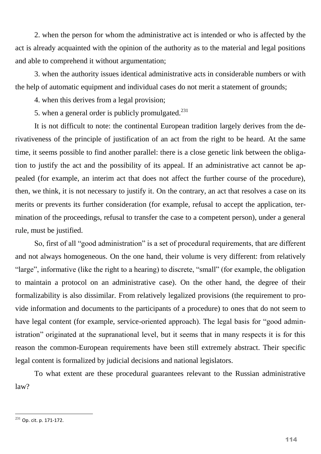2. when the person for whom the administrative act is intended or who is affected by the act is already acquainted with the opinion of the authority as to the material and legal positions and able to comprehend it without argumentation;

3. when the authority issues identical administrative acts in considerable numbers or with the help of automatic equipment and individual cases do not merit a statement of grounds;

4. when this derives from a legal provision;

5. when a general order is publicly promulgated. $^{231}$ 

It is not difficult to note: the continental European tradition largely derives from the derivativeness of the principle of justification of an act from the right to be heard. At the same time, it seems possible to find another parallel: there is a close genetic link between the obligation to justify the act and the possibility of its appeal. If an administrative act cannot be appealed (for example, an interim act that does not affect the further course of the procedure), then, we think, it is not necessary to justify it. On the contrary, an act that resolves a case on its merits or prevents its further consideration (for example, refusal to accept the application, termination of the proceedings, refusal to transfer the case to a competent person), under a general rule, must be justified.

So, first of all "good administration" is a set of procedural requirements, that are different and not always homogeneous. On the one hand, their volume is very different: from relatively "large", informative (like the right to a hearing) to discrete, "small" (for example, the obligation to maintain a protocol on an administrative case). On the other hand, the degree of their formalizability is also dissimilar. From relatively legalized provisions (the requirement to provide information and documents to the participants of a procedure) to ones that do not seem to have legal content (for example, service-oriented approach). The legal basis for "good administration" originated at the supranational level, but it seems that in many respects it is for this reason the common-European requirements have been still extremely abstract. Their specific legal content is formalized by judicial decisions and national legislators.

To what extent are these procedural guarantees relevant to the Russian administrative law?

 $231$  Op. cit. p. 171-172.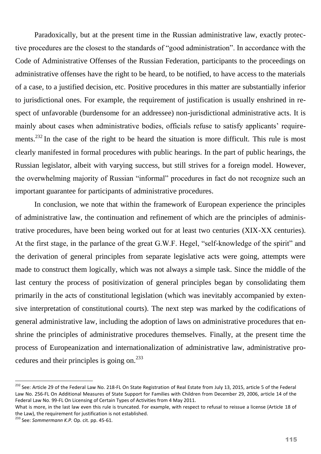Paradoxically, but at the present time in the Russian administrative law, exactly protective procedures are the closest to the standards of "good administration". In accordance with the Code of Administrative Offenses of the Russian Federation, participants to the proceedings on administrative offenses have the right to be heard, to be notified, to have access to the materials of a case, to a justified decision, etc. Positive procedures in this matter are substantially inferior to jurisdictional ones. For example, the requirement of justification is usually enshrined in respect of unfavorable (burdensome for an addressee) non-jurisdictional administrative acts. It is mainly about cases when administrative bodies, officials refuse to satisfy applicants' requirements.<sup>232</sup> In the case of the right to be heard the situation is more difficult. This rule is most clearly manifested in formal procedures with public hearings. In the part of public hearings, the Russian legislator, albeit with varying success, but still strives for a foreign model. However, the overwhelming majority of Russian "informal" procedures in fact do not recognize such an important guarantee for participants of administrative procedures.

In conclusion, we note that within the framework of European experience the principles of administrative law, the continuation and refinement of which are the principles of administrative procedures, have been being worked out for at least two centuries (XIX-XX centuries). At the first stage, in the parlance of the great G.W.F. Hegel, "self-knowledge of the spirit" and the derivation of general principles from separate legislative acts were going, attempts were made to construct them logically, which was not always a simple task. Since the middle of the last century the process of positivization of general principles began by consolidating them primarily in the acts of constitutional legislation (which was inevitably accompanied by extensive interpretation of constitutional courts). The next step was marked by the codifications of general administrative law, including the adoption of laws on administrative procedures that enshrine the principles of administrative procedures themselves. Finally, at the present time the process of Europeanization and internationalization of administrative law, administrative procedures and their principles is going on.<sup>233</sup>

<sup>&</sup>lt;sup>232</sup> See: Article 29 of the Federal Law No. 218-FL On State Registration of Real Estate from July 13, 2015, article 5 of the Federal Law No. 256-FL On Additional Measures of State Support for Families with Children from December 29, 2006, article 14 of the Federal Law No. 99-FL On Licensing of Certain Types of Activities from 4 May 2011.

What is more, in the last law even this rule is truncated. For example, with respect to refusal to reissue a license (Article 18 of the Law), the requirement for justification is not established.

<sup>233</sup> See: *Sommermann K.P.* Op. cit. pp. 45-61.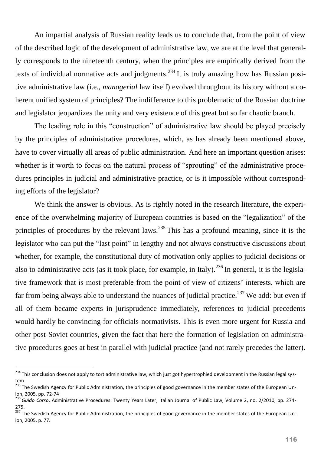An impartial analysis of Russian reality leads us to conclude that, from the point of view of the described logic of the development of administrative law, we are at the level that generally corresponds to the nineteenth century, when the principles are empirically derived from the texts of individual normative acts and judgments.<sup>234</sup> It is truly amazing how has Russian positive administrative law (i.e., *managerial* law itself) evolved throughout its history without a coherent unified system of principles? The indifference to this problematic of the Russian doctrine and legislator jeopardizes the unity and very existence of this great but so far chaotic branch.

The leading role in this "construction" of administrative law should be played precisely by the principles of administrative procedures, which, as has already been mentioned above, have to cover virtually all areas of public administration. And here an important question arises: whether is it worth to focus on the natural process of "sprouting" of the administrative procedures principles in judicial and administrative practice, or is it impossible without corresponding efforts of the legislator?

We think the answer is obvious. As is rightly noted in the research literature, the experience of the overwhelming majority of European countries is based on the "legalization" of the principles of procedures by the relevant laws.<sup>235</sup> This has a profound meaning, since it is the legislator who can put the "last point" in lengthy and not always constructive discussions about whether, for example, the constitutional duty of motivation only applies to judicial decisions or also to administrative acts (as it took place, for example, in Italy).<sup>236</sup> In general, it is the legislative framework that is most preferable from the point of view of citizens' interests, which are far from being always able to understand the nuances of judicial practice.<sup>237</sup> We add: but even if all of them became experts in jurisprudence immediately, references to judicial precedents would hardly be convincing for officials-normativists. This is even more urgent for Russia and other post-Soviet countries, given the fact that here the formation of legislation on administrative procedures goes at best in parallel with judicial practice (and not rarely precedes the latter).

<sup>&</sup>lt;sup>234</sup> This conclusion does not apply to tort administrative law, which just got hypertrophied development in the Russian legal system.

<sup>&</sup>lt;sup>235</sup> The Swedish Agency for Public Administration, the principles of good governance in the member states of the European Union, 2005. pp. 72-74

<sup>236</sup> *Guido Corso*, Administrative Procedures: Twenty Years Later, Italian Journal of Public Law, Volume 2, no. 2/2010, pp. 274- 275.

<sup>&</sup>lt;sup>237</sup> The Swedish Agency for Public Administration, the principles of good governance in the member states of the European Union, 2005. p. 77.